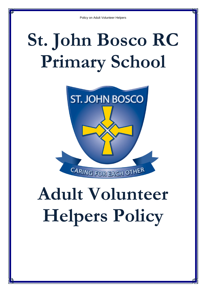# **St. John Bosco RC Primary School**



## **Adult Volunteer Helpers Policy**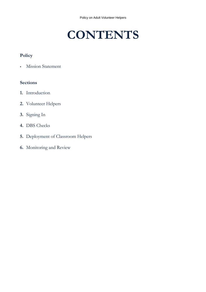### **CONTENTS**

#### **Policy**

Mission Statement

#### **Sections**

- **1.** Introduction
- **2.** Volunteer Helpers
- **3.** Signing In
- **4.** DBS Checks
- **5.** Deployment of Classroom Helpers
- **6.** Monitoring and Review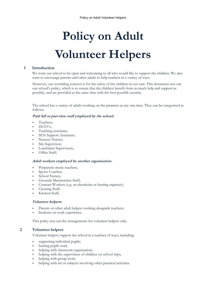### **Policy on Adult Volunteer Helpers**

#### **1 Introduction**

We want our school to be open and welcoming to all who would like to support the children. We also want to encourage parents and other adults to help teachers in a variety of ways.

However, our overriding concern is for the safety of the children in our care. This document sets out our school's policy, which is to ensure that the children benefit from as much help and support as possible, and are provided at the same time with the best possible security.

The school has a variety of adults working on the premises at any one time. They can be categorised as follows:

#### **Paid full or part-time staff employed by the school:**

- Teachers;
- HLTA's;
- Teaching assistants;
- SEN Support Assistants;
- Nursery Nurses;
- Site Supervisor;
- Lunchtime Supervisors;
- Office Staff;

#### **Adult workers employed by another organisation:**

- Peripatetic music teachers;
- Sports Coaches;
- School Nurses;
- Grounds Maintenance Staff;
- Contract Workers (e.g. an electrician or heating engineer);
- Cleaning Staff;
- Kitchen Staff;

#### **Volunteer helpers:**

- Parents or other adult helpers working alongside teachers;
- Students on work experience.

This policy sets out the arrangements for volunteer helpers only.

#### **2 Volunteer helpers**

Volunteer helpers support the school in a number of ways, including:

- supporting individual pupils;
- hearing pupils read;
- helping with classroom organisation;
- helping with the supervision of children on school trips;
- helping with group work;
- helping with art or subjects involving other practical activities.